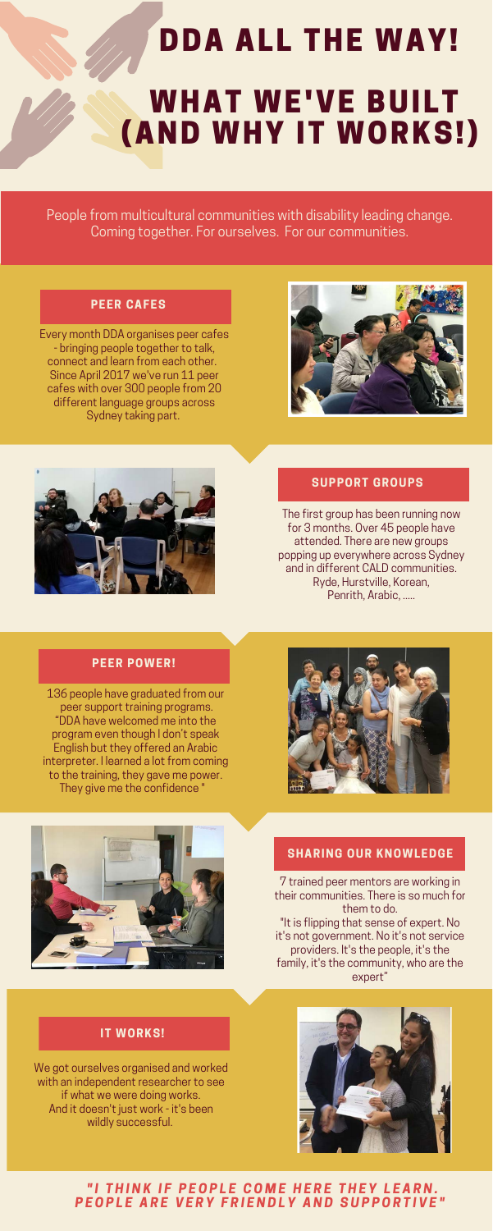# DDA ALL THE WAY! **WHAT WE'VE BUILT** (AND WHY IT WORKS!)

People from multicultural communities with disability leading change. Coming together. For ourselves. For our communities.

#### **PEER CAFES**

The first group has been running now for 3 months. Over 45 people have attended. There are new groups popping up everywhere across Sydney and in different CALD communities. Ryde, Hurstville, Korean, Penrith, Arabic, .....

#### **PEER POWER!**

We got ourselves organised and worked with an independent researcher to see if what we were doing works. And it doesn't just work - it's been wildly successful.



#### "I THINK IF PEOPLE COME HERE THEY LEARN. P E O P L E A R E V E R Y F R I E N D L Y A N D S U P P O R T I V E "

7 trained peer mentors are working in their communities. There is so much for them to do. "It is flipping that sense of expert. No it's not government. No it's not service providers. It's the people, it's the family, it's the community, who are the expert"

#### **IT WORKS!**

136 people have graduated from our peer support training programs. "DDA have welcomed me into the program even though I don't speak English but they offered an Arabic interpreter. I learned a lot from coming to the training, they gave me power. They give me the confidence "





#### **SHARING OUR KNOWLEDGE**

Every month DDA organises peer cafes - bringing people together to talk, connect and learn from each other. Since April 2017 we've run 11 peer cafes with over 300 people from 20 different language groups across Sydney taking part.





#### **SUPPORT GROUPS**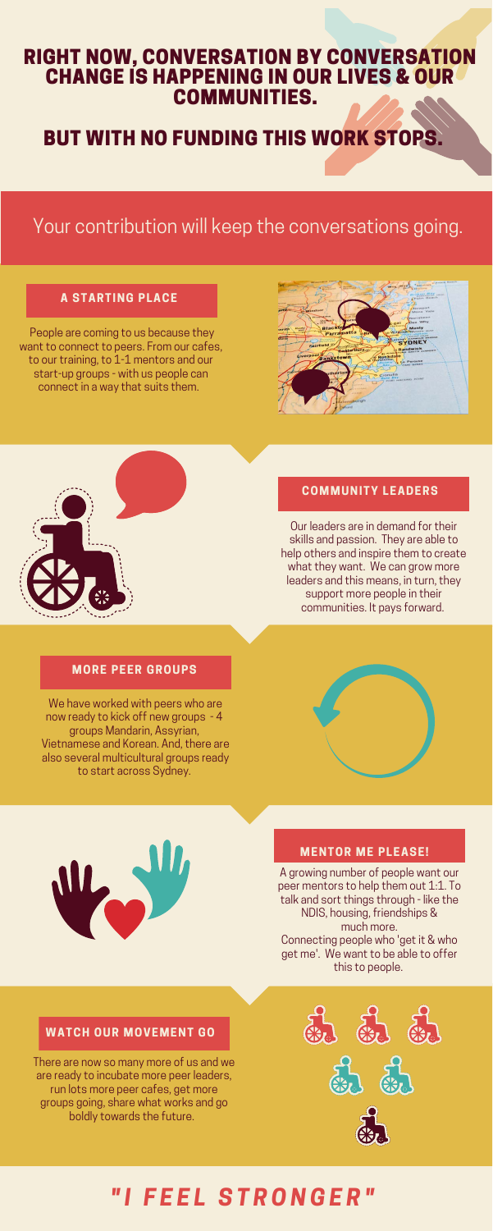## Your contribution will keep the conversations going.

#### **A STARTING PLACE**

Our leaders are in demand for their skills and passion. They are able to help others and inspire them to create what they want. We can grow more leaders and this means, in turn, they support more people in their communities. It pays forward.

#### **MORE PEER GROUPS**

### RIGHT NOW, CONVERSATION BY CONVERSATION CHANGE IS HAPPENING IN OUR LIVES & OUR COMMUNITIES.

## BUT WITH NO FUNDING THIS WORK STOPS.

 People are coming to us because they want to connect to peers. From our cafes, to our training, to 1-1 mentors and our start-up groups - with us people can connect in a way that suits them.





#### **COMMUNITY LEADERS**

A growing number of people want our peer mentors to help them out 1:1. To talk and sort things through - like the NDIS, housing, friendships & much more. Connecting people who 'get it & who get me'. We want to be able to offer this to people.

#### **WATCH OUR MOVEMENT GO**

There are now so many more of us and we are ready to incubate more peer leaders, run lots more peer cafes, get more groups going, share what works and go boldly towards the future.



We have worked with peers who are now ready to kick off new groups - 4 groups Mandarin, Assyrian, Vietnamese and Korean. And, there are also several multicultural groups ready to start across Sydney.

#### **MENTOR ME PLEASE!**

## *" I F E E L S T R O N G E R "*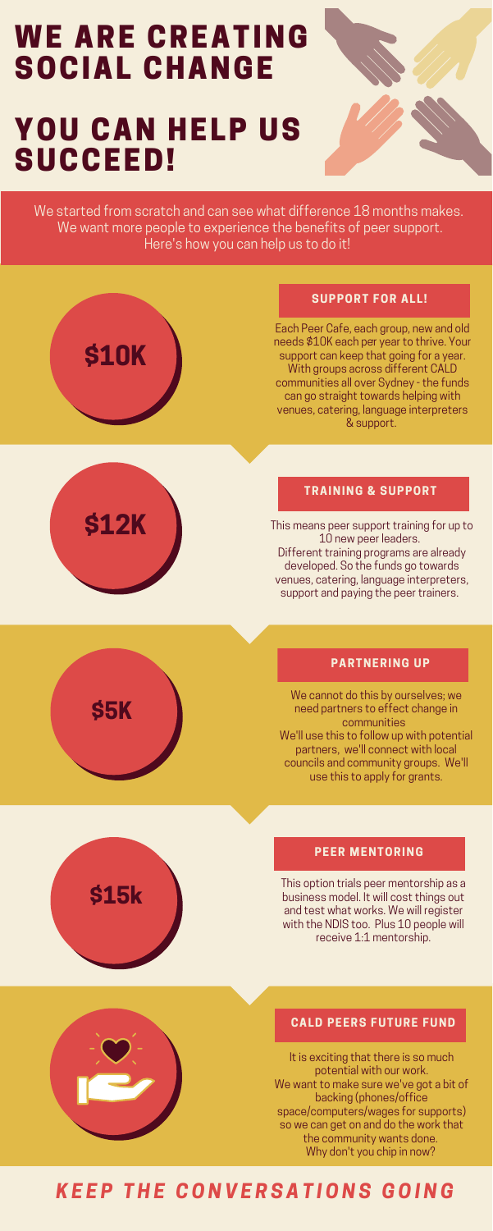# **WE ARE CREATING** SOCIAL CHANGE

## YOU CAN HELP US SUCCEED!



This means peer support training for up to 10 new peer leaders. Different training programs are already developed. So the funds go towards venues, catering, language interpreters, support and paying the peer trainers.

#### **PARTNERING UP**

This option trials peer mentorship as a business model. It will cost things out and test what works. We will register with the NDIS too. Plus 10 people will receive 1:1 mentorship.

#### **CALD PEERS FUTURE FUND**

# **\$10K**

#### **SUPPORT FOR ALL!**



**\$5K** 

#### **TRAINING & SUPPORT**

# **\$15k**

#### **PEER MENTORING**

We started from scratch and can see what difference 18 months makes. We want more people to experience the benefits of peer support. Here's how you can help us to do it!

> It is exciting that there is so much potential with our work. We want to make sure we've got a bit of backing (phones/office space/computers/wages for supports) so we can get on and do the work that the community wants done. Why don't you chip in now?

. needs \$10K each per year to thrive. Your Each Peer Cafe, each group, new and old support can keep that going for a year. With groups across different CALD communities all over Sydney - the funds can go straight towards helping with venues, catering, language interpreters & support.

We cannot do this by ourselves; we need partners to effect change in communities We'll use this to follow up with potential partners, we'll connect with local councils and community groups. We'll use this to apply for grants.

## *K E E P T H E C O N V E R S A T I O N S G O I N G*